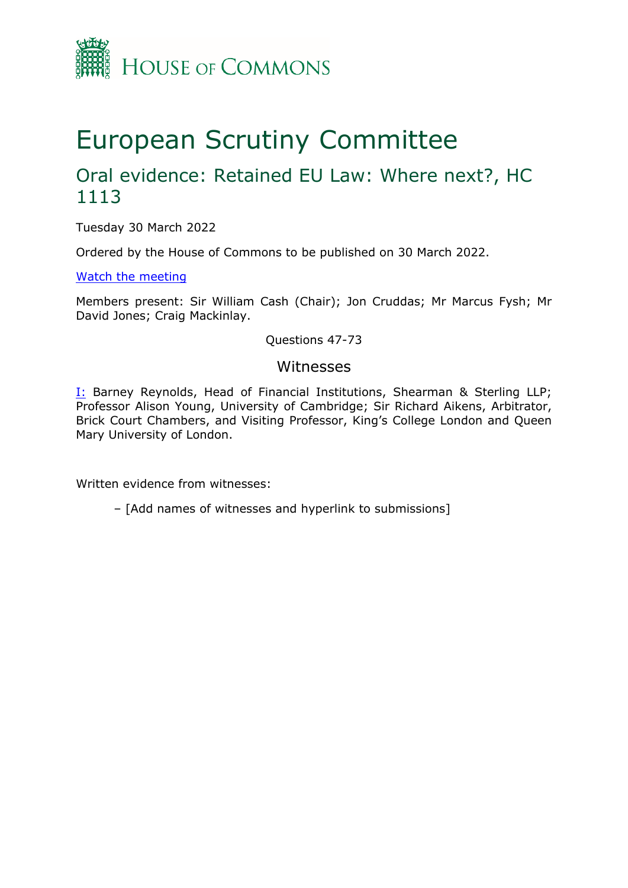

# European Scrutiny Committee

## Oral evidence: Retained EU Law: Where next?, HC 1113

Tuesday 30 March 2022

Ordered by the House of Commons to be published on 30 March 2022.

[Watch](https://www.parliamentlive.tv/Event/Index/a6a64a43-3d84-48d4-91cf-9859511a8169) [the](https://www.parliamentlive.tv/Event/Index/a6a64a43-3d84-48d4-91cf-9859511a8169) [meeting](https://www.parliamentlive.tv/Event/Index/a6a64a43-3d84-48d4-91cf-9859511a8169)

Members present: Sir William Cash (Chair); Jon Cruddas; Mr Marcus Fysh; Mr David Jones; Craig Mackinlay.

Questions 47-73

## Witnesses

[I:](#page-1-0) Barney Reynolds, Head of Financial Institutions, Shearman & Sterling LLP; Professor Alison Young, University of Cambridge; Sir Richard Aikens, Arbitrator, Brick Court Chambers, and Visiting Professor, King's College London and Queen Mary University of London.

Written evidence from witnesses:

– [Add names of witnesses and hyperlink to submissions]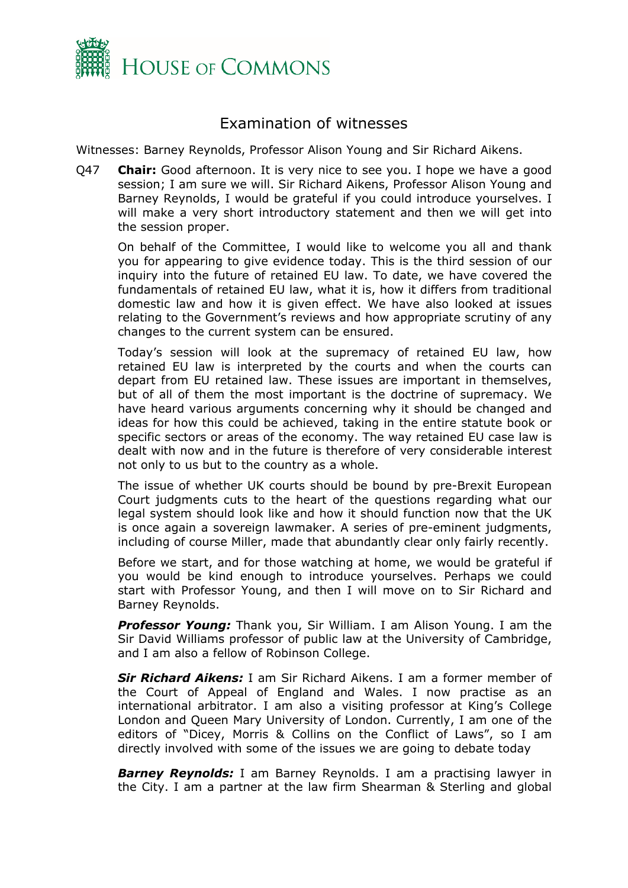

## <span id="page-1-0"></span>Examination of witnesses

Witnesses: Barney Reynolds, Professor Alison Young and Sir Richard Aikens.

Q47 **Chair:** Good afternoon. It is very nice to see you. I hope we have a good session; I am sure we will. Sir Richard Aikens, Professor Alison Young and Barney Reynolds, I would be grateful if you could introduce yourselves. I will make a very short introductory statement and then we will get into the session proper.

On behalf of the Committee, I would like to welcome you all and thank you for appearing to give evidence today. This is the third session of our inquiry into the future of retained EU law. To date, we have covered the fundamentals of retained EU law, what it is, how it differs from traditional domestic law and how it is given effect. We have also looked at issues relating to the Government's reviews and how appropriate scrutiny of any changes to the current system can be ensured.

Today's session will look at the supremacy of retained EU law, how retained EU law is interpreted by the courts and when the courts can depart from EU retained law. These issues are important in themselves, but of all of them the most important is the doctrine of supremacy. We have heard various arguments concerning why it should be changed and ideas for how this could be achieved, taking in the entire statute book or specific sectors or areas of the economy. The way retained EU case law is dealt with now and in the future is therefore of very considerable interest not only to us but to the country as a whole.

The issue of whether UK courts should be bound by pre-Brexit European Court judgments cuts to the heart of the questions regarding what our legal system should look like and how it should function now that the UK is once again a sovereign lawmaker. A series of pre-eminent judgments, including of course Miller, made that abundantly clear only fairly recently.

Before we start, and for those watching at home, we would be grateful if you would be kind enough to introduce yourselves. Perhaps we could start with Professor Young, and then I will move on to Sir Richard and Barney Reynolds.

*Professor Young:* Thank you, Sir William. I am Alison Young. I am the Sir David Williams professor of public law at the University of Cambridge, and I am also a fellow of Robinson College.

*Sir Richard Aikens:* I am Sir Richard Aikens. I am a former member of the Court of Appeal of England and Wales. I now practise as an international arbitrator. I am also a visiting professor at King's College London and Queen Mary University of London. Currently, I am one of the editors of "Dicey, Morris & Collins on the Conflict of Laws", so I am directly involved with some of the issues we are going to debate today

**Barney Reynolds:** I am Barney Reynolds. I am a practising lawyer in the City. I am a partner at the law firm Shearman & Sterling and global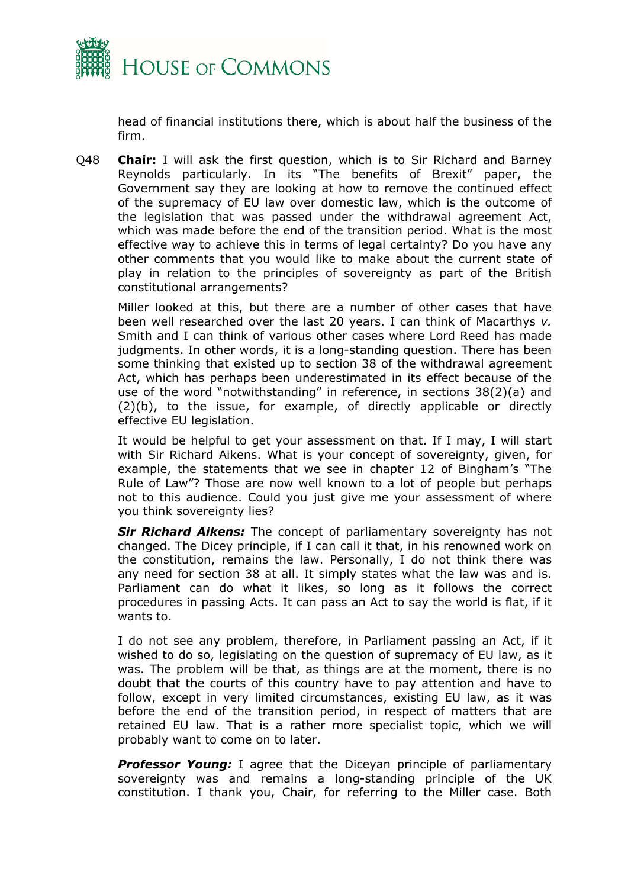

head of financial institutions there, which is about half the business of the firm.

Q48 **Chair:** I will ask the first question, which is to Sir Richard and Barney Reynolds particularly. In its "The benefits of Brexit" paper, the Government say they are looking at how to remove the continued effect of the supremacy of EU law over domestic law, which is the outcome of the legislation that was passed under the withdrawal agreement Act, which was made before the end of the transition period. What is the most effective way to achieve this in terms of legal certainty? Do you have any other comments that you would like to make about the current state of play in relation to the principles of sovereignty as part of the British constitutional arrangements?

Miller looked at this, but there are a number of other cases that have been well researched over the last 20 years. I can think of Macarthys *v.* Smith and I can think of various other cases where Lord Reed has made judgments. In other words, it is a long-standing question. There has been some thinking that existed up to section 38 of the withdrawal agreement Act, which has perhaps been underestimated in its effect because of the use of the word "notwithstanding" in reference, in sections 38(2)(a) and (2)(b), to the issue, for example, of directly applicable or directly effective EU legislation.

It would be helpful to get your assessment on that. If I may, I will start with Sir Richard Aikens. What is your concept of sovereignty, given, for example, the statements that we see in chapter 12 of Bingham's "The Rule of Law"? Those are now well known to a lot of people but perhaps not to this audience. Could you just give me your assessment of where you think sovereignty lies?

*Sir Richard Aikens:* The concept of parliamentary sovereignty has not changed. The Dicey principle, if I can call it that, in his renowned work on the constitution, remains the law. Personally, I do not think there was any need for section 38 at all. It simply states what the law was and is. Parliament can do what it likes, so long as it follows the correct procedures in passing Acts. It can pass an Act to say the world is flat, if it wants to.

I do not see any problem, therefore, in Parliament passing an Act, if it wished to do so, legislating on the question of supremacy of EU law, as it was. The problem will be that, as things are at the moment, there is no doubt that the courts of this country have to pay attention and have to follow, except in very limited circumstances, existing EU law, as it was before the end of the transition period, in respect of matters that are retained EU law. That is a rather more specialist topic, which we will probably want to come on to later.

**Professor Young:** I agree that the Diceyan principle of parliamentary sovereignty was and remains a long-standing principle of the UK constitution. I thank you, Chair, for referring to the Miller case. Both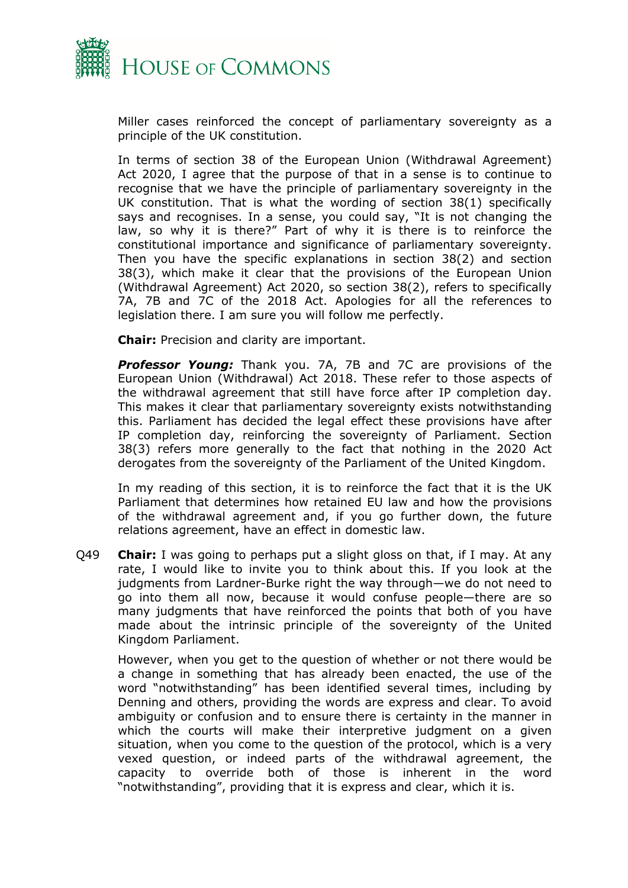

Miller cases reinforced the concept of parliamentary sovereignty as a principle of the UK constitution.

In terms of section 38 of the European Union (Withdrawal Agreement) Act 2020, I agree that the purpose of that in a sense is to continue to recognise that we have the principle of parliamentary sovereignty in the UK constitution. That is what the wording of section 38(1) specifically says and recognises. In a sense, you could say, "It is not changing the law, so why it is there?" Part of why it is there is to reinforce the constitutional importance and significance of parliamentary sovereignty. Then you have the specific explanations in section 38(2) and section 38(3), which make it clear that the provisions of the European Union (Withdrawal Agreement) Act 2020, so section 38(2), refers to specifically 7A, 7B and 7C of the 2018 Act. Apologies for all the references to legislation there. I am sure you will follow me perfectly.

**Chair:** Precision and clarity are important.

*Professor Young:* Thank you. 7A, 7B and 7C are provisions of the European Union (Withdrawal) Act 2018. These refer to those aspects of the withdrawal agreement that still have force after IP completion day. This makes it clear that parliamentary sovereignty exists notwithstanding this. Parliament has decided the legal effect these provisions have after IP completion day, reinforcing the sovereignty of Parliament. Section 38(3) refers more generally to the fact that nothing in the 2020 Act derogates from the sovereignty of the Parliament of the United Kingdom.

In my reading of this section, it is to reinforce the fact that it is the UK Parliament that determines how retained EU law and how the provisions of the withdrawal agreement and, if you go further down, the future relations agreement, have an effect in domestic law.

Q49 **Chair:** I was going to perhaps put a slight gloss on that, if I may. At any rate, I would like to invite you to think about this. If you look at the judgments from Lardner-Burke right the way through—we do not need to go into them all now, because it would confuse people—there are so many judgments that have reinforced the points that both of you have made about the intrinsic principle of the sovereignty of the United Kingdom Parliament.

However, when you get to the question of whether or not there would be a change in something that has already been enacted, the use of the word "notwithstanding" has been identified several times, including by Denning and others, providing the words are express and clear. To avoid ambiguity or confusion and to ensure there is certainty in the manner in which the courts will make their interpretive judgment on a given situation, when you come to the question of the protocol, which is a very vexed question, or indeed parts of the withdrawal agreement, the capacity to override both of those is inherent in the word "notwithstanding", providing that it is express and clear, which it is.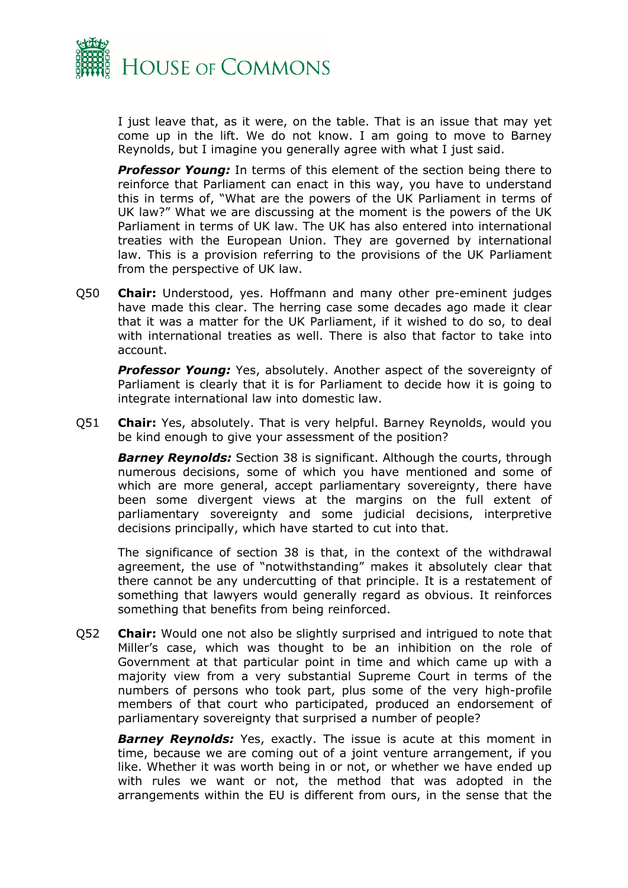

I just leave that, as it were, on the table. That is an issue that may yet come up in the lift. We do not know. I am going to move to Barney Reynolds, but I imagine you generally agree with what I just said.

*Professor Young:* In terms of this element of the section being there to reinforce that Parliament can enact in this way, you have to understand this in terms of, "What are the powers of the UK Parliament in terms of UK law?" What we are discussing at the moment is the powers of the UK Parliament in terms of UK law. The UK has also entered into international treaties with the European Union. They are governed by international law. This is a provision referring to the provisions of the UK Parliament from the perspective of UK law.

Q50 **Chair:** Understood, yes. Hoffmann and many other pre-eminent judges have made this clear. The herring case some decades ago made it clear that it was a matter for the UK Parliament, if it wished to do so, to deal with international treaties as well. There is also that factor to take into account.

**Professor Young:** Yes, absolutely. Another aspect of the sovereignty of Parliament is clearly that it is for Parliament to decide how it is going to integrate international law into domestic law.

Q51 **Chair:** Yes, absolutely. That is very helpful. Barney Reynolds, would you be kind enough to give your assessment of the position?

*Barney Reynolds:* Section 38 is significant. Although the courts, through numerous decisions, some of which you have mentioned and some of which are more general, accept parliamentary sovereignty, there have been some divergent views at the margins on the full extent of parliamentary sovereignty and some judicial decisions, interpretive decisions principally, which have started to cut into that.

The significance of section 38 is that, in the context of the withdrawal agreement, the use of "notwithstanding" makes it absolutely clear that there cannot be any undercutting of that principle. It is a restatement of something that lawyers would generally regard as obvious. It reinforces something that benefits from being reinforced.

Q52 **Chair:** Would one not also be slightly surprised and intrigued to note that Miller's case, which was thought to be an inhibition on the role of Government at that particular point in time and which came up with a majority view from a very substantial Supreme Court in terms of the numbers of persons who took part, plus some of the very high-profile members of that court who participated, produced an endorsement of parliamentary sovereignty that surprised a number of people?

**Barney Reynolds:** Yes, exactly. The issue is acute at this moment in time, because we are coming out of a joint venture arrangement, if you like. Whether it was worth being in or not, or whether we have ended up with rules we want or not, the method that was adopted in the arrangements within the EU is different from ours, in the sense that the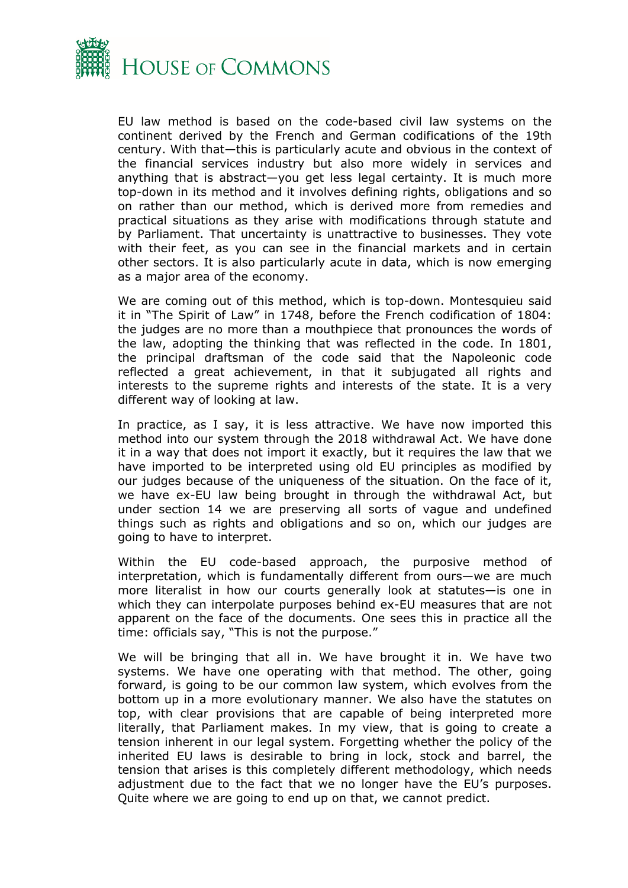

EU law method is based on the code-based civil law systems on the continent derived by the French and German codifications of the 19th century. With that—this is particularly acute and obvious in the context of the financial services industry but also more widely in services and anything that is abstract—you get less legal certainty. It is much more top-down in its method and it involves defining rights, obligations and so on rather than our method, which is derived more from remedies and practical situations as they arise with modifications through statute and by Parliament. That uncertainty is unattractive to businesses. They vote with their feet, as you can see in the financial markets and in certain other sectors. It is also particularly acute in data, which is now emerging as a major area of the economy.

We are coming out of this method, which is top-down. Montesquieu said it in "The Spirit of Law" in 1748, before the French codification of 1804: the judges are no more than a mouthpiece that pronounces the words of the law, adopting the thinking that was reflected in the code. In 1801, the principal draftsman of the code said that the Napoleonic code reflected a great achievement, in that it subjugated all rights and interests to the supreme rights and interests of the state. It is a very different way of looking at law.

In practice, as I say, it is less attractive. We have now imported this method into our system through the 2018 withdrawal Act. We have done it in a way that does not import it exactly, but it requires the law that we have imported to be interpreted using old EU principles as modified by our judges because of the uniqueness of the situation. On the face of it, we have ex-EU law being brought in through the withdrawal Act, but under section 14 we are preserving all sorts of vague and undefined things such as rights and obligations and so on, which our judges are going to have to interpret.

Within the EU code-based approach, the purposive method of interpretation, which is fundamentally different from ours—we are much more literalist in how our courts generally look at statutes—is one in which they can interpolate purposes behind ex-EU measures that are not apparent on the face of the documents. One sees this in practice all the time: officials say, "This is not the purpose."

We will be bringing that all in. We have brought it in. We have two systems. We have one operating with that method. The other, going forward, is going to be our common law system, which evolves from the bottom up in a more evolutionary manner. We also have the statutes on top, with clear provisions that are capable of being interpreted more literally, that Parliament makes. In my view, that is going to create a tension inherent in our legal system. Forgetting whether the policy of the inherited EU laws is desirable to bring in lock, stock and barrel, the tension that arises is this completely different methodology, which needs adjustment due to the fact that we no longer have the EU's purposes. Quite where we are going to end up on that, we cannot predict.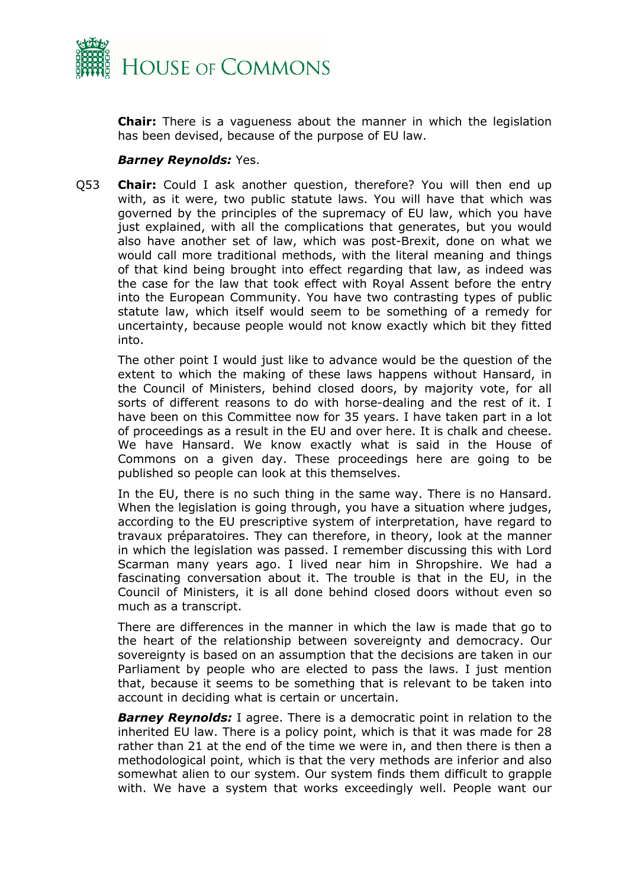

**Chair:** There is a vagueness about the manner in which the legislation has been devised, because of the purpose of EU law.

## *Barney Reynolds:* Yes.

Q53 **Chair:** Could I ask another question, therefore? You will then end up with, as it were, two public statute laws. You will have that which was governed by the principles of the supremacy of EU law, which you have just explained, with all the complications that generates, but you would also have another set of law, which was post-Brexit, done on what we would call more traditional methods, with the literal meaning and things of that kind being brought into effect regarding that law, as indeed was the case for the law that took effect with Royal Assent before the entry into the European Community. You have two contrasting types of public statute law, which itself would seem to be something of a remedy for uncertainty, because people would not know exactly which bit they fitted into.

The other point I would just like to advance would be the question of the extent to which the making of these laws happens without Hansard, in the Council of Ministers, behind closed doors, by majority vote, for all sorts of different reasons to do with horse-dealing and the rest of it. I have been on this Committee now for 35 years. I have taken part in a lot of proceedings as a result in the EU and over here. It is chalk and cheese. We have Hansard. We know exactly what is said in the House of Commons on a given day. These proceedings here are going to be published so people can look at this themselves.

In the EU, there is no such thing in the same way. There is no Hansard. When the legislation is going through, you have a situation where judges, according to the EU prescriptive system of interpretation, have regard to travaux préparatoires. They can therefore, in theory, look at the manner in which the legislation was passed. I remember discussing this with Lord Scarman many years ago. I lived near him in Shropshire. We had a fascinating conversation about it. The trouble is that in the EU, in the Council of Ministers, it is all done behind closed doors without even so much as a transcript.

There are differences in the manner in which the law is made that go to the heart of the relationship between sovereignty and democracy. Our sovereignty is based on an assumption that the decisions are taken in our Parliament by people who are elected to pass the laws. I just mention that, because it seems to be something that is relevant to be taken into account in deciding what is certain or uncertain.

*Barney Reynolds:* I agree. There is a democratic point in relation to the inherited EU law. There is a policy point, which is that it was made for 28 rather than 21 at the end of the time we were in, and then there is then a methodological point, which is that the very methods are inferior and also somewhat alien to our system. Our system finds them difficult to grapple with. We have a system that works exceedingly well. People want our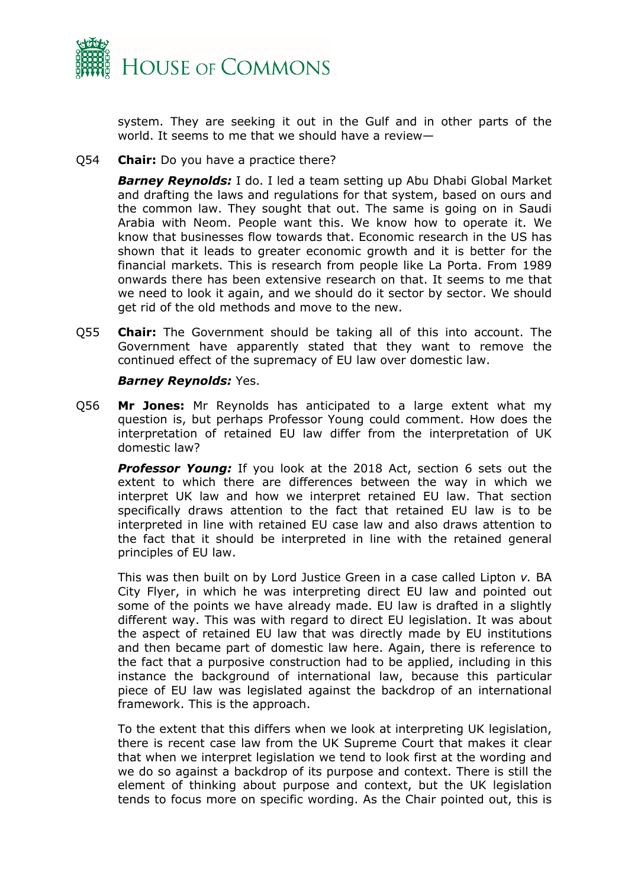

system. They are seeking it out in the Gulf and in other parts of the world. It seems to me that we should have a review—

Q54 **Chair:** Do you have a practice there?

*Barney Reynolds:* I do. I led a team setting up Abu Dhabi Global Market and drafting the laws and regulations for that system, based on ours and the common law. They sought that out. The same is going on in Saudi Arabia with Neom. People want this. We know how to operate it. We know that businesses flow towards that. Economic research in the US has shown that it leads to greater economic growth and it is better for the financial markets. This is research from people like La Porta. From 1989 onwards there has been extensive research on that. It seems to me that we need to look it again, and we should do it sector by sector. We should get rid of the old methods and move to the new.

Q55 **Chair:** The Government should be taking all of this into account. The Government have apparently stated that they want to remove the continued effect of the supremacy of EU law over domestic law.

## *Barney Reynolds:* Yes.

Q56 **Mr Jones:** Mr Reynolds has anticipated to a large extent what my question is, but perhaps Professor Young could comment. How does the interpretation of retained EU law differ from the interpretation of UK domestic law?

*Professor Young:* If you look at the 2018 Act, section 6 sets out the extent to which there are differences between the way in which we interpret UK law and how we interpret retained EU law. That section specifically draws attention to the fact that retained EU law is to be interpreted in line with retained EU case law and also draws attention to the fact that it should be interpreted in line with the retained general principles of EU law.

This was then built on by Lord Justice Green in a case called Lipton *v.* BA City Flyer, in which he was interpreting direct EU law and pointed out some of the points we have already made. EU law is drafted in a slightly different way. This was with regard to direct EU legislation. It was about the aspect of retained EU law that was directly made by EU institutions and then became part of domestic law here. Again, there is reference to the fact that a purposive construction had to be applied, including in this instance the background of international law, because this particular piece of EU law was legislated against the backdrop of an international framework. This is the approach.

To the extent that this differs when we look at interpreting UK legislation, there is recent case law from the UK Supreme Court that makes it clear that when we interpret legislation we tend to look first at the wording and we do so against a backdrop of its purpose and context. There is still the element of thinking about purpose and context, but the UK legislation tends to focus more on specific wording. As the Chair pointed out, this is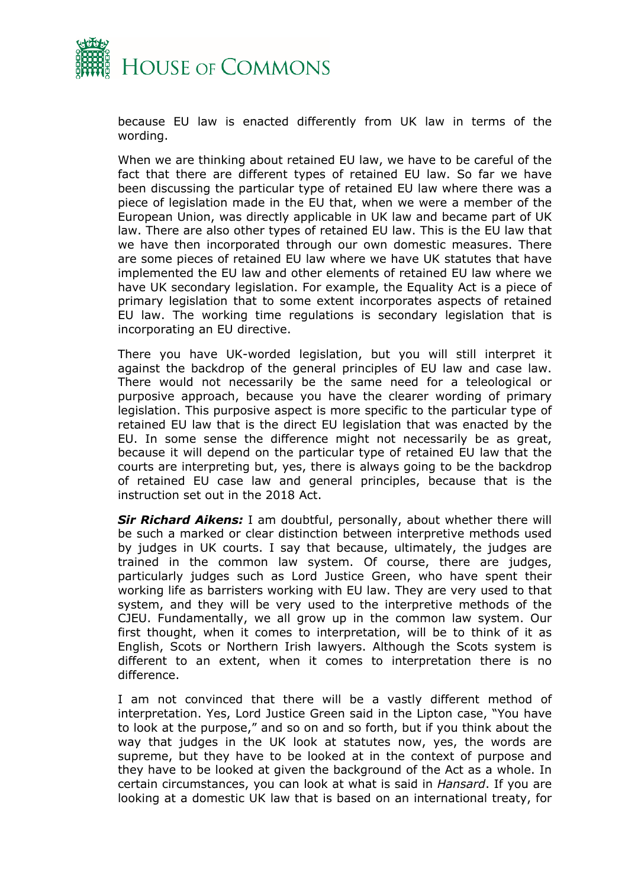

because EU law is enacted differently from UK law in terms of the wording.

When we are thinking about retained EU law, we have to be careful of the fact that there are different types of retained EU law. So far we have been discussing the particular type of retained EU law where there was a piece of legislation made in the EU that, when we were a member of the European Union, was directly applicable in UK law and became part of UK law. There are also other types of retained EU law. This is the EU law that we have then incorporated through our own domestic measures. There are some pieces of retained EU law where we have UK statutes that have implemented the EU law and other elements of retained EU law where we have UK secondary legislation. For example, the Equality Act is a piece of primary legislation that to some extent incorporates aspects of retained EU law. The working time regulations is secondary legislation that is incorporating an EU directive.

There you have UK-worded legislation, but you will still interpret it against the backdrop of the general principles of EU law and case law. There would not necessarily be the same need for a teleological or purposive approach, because you have the clearer wording of primary legislation. This purposive aspect is more specific to the particular type of retained EU law that is the direct EU legislation that was enacted by the EU. In some sense the difference might not necessarily be as great, because it will depend on the particular type of retained EU law that the courts are interpreting but, yes, there is always going to be the backdrop of retained EU case law and general principles, because that is the instruction set out in the 2018 Act.

*Sir Richard Aikens:* I am doubtful, personally, about whether there will be such a marked or clear distinction between interpretive methods used by judges in UK courts. I say that because, ultimately, the judges are trained in the common law system. Of course, there are judges, particularly judges such as Lord Justice Green, who have spent their working life as barristers working with EU law. They are very used to that system, and they will be very used to the interpretive methods of the CJEU. Fundamentally, we all grow up in the common law system. Our first thought, when it comes to interpretation, will be to think of it as English, Scots or Northern Irish lawyers. Although the Scots system is different to an extent, when it comes to interpretation there is no difference.

I am not convinced that there will be a vastly different method of interpretation. Yes, Lord Justice Green said in the Lipton case, "You have to look at the purpose," and so on and so forth, but if you think about the way that judges in the UK look at statutes now, yes, the words are supreme, but they have to be looked at in the context of purpose and they have to be looked at given the background of the Act as a whole. In certain circumstances, you can look at what is said in *Hansard*. If you are looking at a domestic UK law that is based on an international treaty, for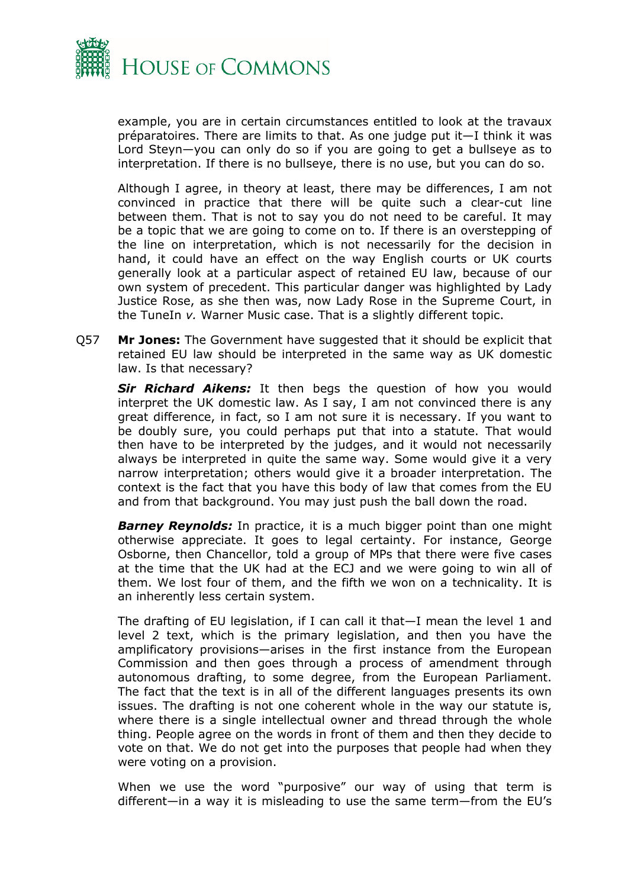

example, you are in certain circumstances entitled to look at the travaux préparatoires. There are limits to that. As one judge put it—I think it was Lord Steyn—you can only do so if you are going to get a bullseye as to interpretation. If there is no bullseye, there is no use, but you can do so.

Although I agree, in theory at least, there may be differences, I am not convinced in practice that there will be quite such a clear-cut line between them. That is not to say you do not need to be careful. It may be a topic that we are going to come on to. If there is an overstepping of the line on interpretation, which is not necessarily for the decision in hand, it could have an effect on the way English courts or UK courts generally look at a particular aspect of retained EU law, because of our own system of precedent. This particular danger was highlighted by Lady Justice Rose, as she then was, now Lady Rose in the Supreme Court, in the TuneIn *v.* Warner Music case. That is a slightly different topic.

Q57 **Mr Jones:** The Government have suggested that it should be explicit that retained EU law should be interpreted in the same way as UK domestic law. Is that necessary?

*Sir Richard Aikens:* It then begs the question of how you would interpret the UK domestic law. As I say, I am not convinced there is any great difference, in fact, so I am not sure it is necessary. If you want to be doubly sure, you could perhaps put that into a statute. That would then have to be interpreted by the judges, and it would not necessarily always be interpreted in quite the same way. Some would give it a very narrow interpretation; others would give it a broader interpretation. The context is the fact that you have this body of law that comes from the EU and from that background. You may just push the ball down the road.

*Barney Reynolds:* In practice, it is a much bigger point than one might otherwise appreciate. It goes to legal certainty. For instance, George Osborne, then Chancellor, told a group of MPs that there were five cases at the time that the UK had at the ECJ and we were going to win all of them. We lost four of them, and the fifth we won on a technicality. It is an inherently less certain system.

The drafting of EU legislation, if I can call it that—I mean the level 1 and level 2 text, which is the primary legislation, and then you have the amplificatory provisions—arises in the first instance from the European Commission and then goes through a process of amendment through autonomous drafting, to some degree, from the European Parliament. The fact that the text is in all of the different languages presents its own issues. The drafting is not one coherent whole in the way our statute is, where there is a single intellectual owner and thread through the whole thing. People agree on the words in front of them and then they decide to vote on that. We do not get into the purposes that people had when they were voting on a provision.

When we use the word "purposive" our way of using that term is different—in a way it is misleading to use the same term—from the EU's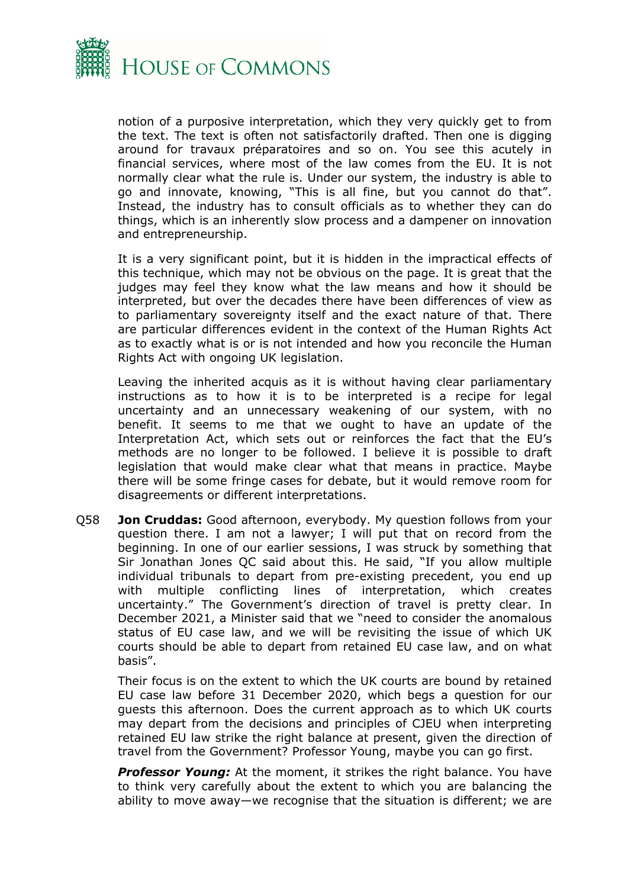

notion of a purposive interpretation, which they very quickly get to from the text. The text is often not satisfactorily drafted. Then one is digging around for travaux préparatoires and so on. You see this acutely in financial services, where most of the law comes from the EU. It is not normally clear what the rule is. Under our system, the industry is able to go and innovate, knowing, "This is all fine, but you cannot do that". Instead, the industry has to consult officials as to whether they can do things, which is an inherently slow process and a dampener on innovation and entrepreneurship.

It is a very significant point, but it is hidden in the impractical effects of this technique, which may not be obvious on the page. It is great that the judges may feel they know what the law means and how it should be interpreted, but over the decades there have been differences of view as to parliamentary sovereignty itself and the exact nature of that. There are particular differences evident in the context of the Human Rights Act as to exactly what is or is not intended and how you reconcile the Human Rights Act with ongoing UK legislation.

Leaving the inherited acquis as it is without having clear parliamentary instructions as to how it is to be interpreted is a recipe for legal uncertainty and an unnecessary weakening of our system, with no benefit. It seems to me that we ought to have an update of the Interpretation Act, which sets out or reinforces the fact that the EU's methods are no longer to be followed. I believe it is possible to draft legislation that would make clear what that means in practice. Maybe there will be some fringe cases for debate, but it would remove room for disagreements or different interpretations.

Q58 **Jon Cruddas:** Good afternoon, everybody. My question follows from your question there. I am not a lawyer; I will put that on record from the beginning. In one of our earlier sessions, I was struck by something that Sir Jonathan Jones QC said about this. He said, "If you allow multiple individual tribunals to depart from pre-existing precedent, you end up with multiple conflicting lines of interpretation, which creates uncertainty." The Government's direction of travel is pretty clear. In December 2021, a Minister said that we "need to consider the anomalous status of EU case law, and we will be revisiting the issue of which UK courts should be able to depart from retained EU case law, and on what basis".

Their focus is on the extent to which the UK courts are bound by retained EU case law before 31 December 2020, which begs a question for our guests this afternoon. Does the current approach as to which UK courts may depart from the decisions and principles of CJEU when interpreting retained EU law strike the right balance at present, given the direction of travel from the Government? Professor Young, maybe you can go first.

*Professor Young:* At the moment, it strikes the right balance. You have to think very carefully about the extent to which you are balancing the ability to move away—we recognise that the situation is different; we are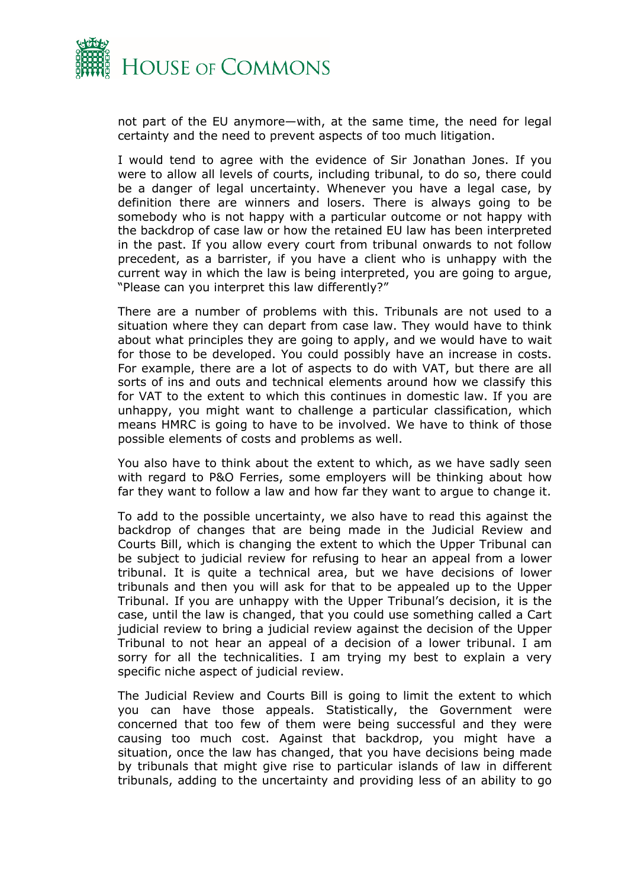

not part of the EU anymore—with, at the same time, the need for legal certainty and the need to prevent aspects of too much litigation.

I would tend to agree with the evidence of Sir Jonathan Jones. If you were to allow all levels of courts, including tribunal, to do so, there could be a danger of legal uncertainty. Whenever you have a legal case, by definition there are winners and losers. There is always going to be somebody who is not happy with a particular outcome or not happy with the backdrop of case law or how the retained EU law has been interpreted in the past. If you allow every court from tribunal onwards to not follow precedent, as a barrister, if you have a client who is unhappy with the current way in which the law is being interpreted, you are going to argue, "Please can you interpret this law differently?"

There are a number of problems with this. Tribunals are not used to a situation where they can depart from case law. They would have to think about what principles they are going to apply, and we would have to wait for those to be developed. You could possibly have an increase in costs. For example, there are a lot of aspects to do with VAT, but there are all sorts of ins and outs and technical elements around how we classify this for VAT to the extent to which this continues in domestic law. If you are unhappy, you might want to challenge a particular classification, which means HMRC is going to have to be involved. We have to think of those possible elements of costs and problems as well.

You also have to think about the extent to which, as we have sadly seen with regard to P&O Ferries, some employers will be thinking about how far they want to follow a law and how far they want to argue to change it.

To add to the possible uncertainty, we also have to read this against the backdrop of changes that are being made in the Judicial Review and Courts Bill, which is changing the extent to which the Upper Tribunal can be subject to judicial review for refusing to hear an appeal from a lower tribunal. It is quite a technical area, but we have decisions of lower tribunals and then you will ask for that to be appealed up to the Upper Tribunal. If you are unhappy with the Upper Tribunal's decision, it is the case, until the law is changed, that you could use something called a Cart judicial review to bring a judicial review against the decision of the Upper Tribunal to not hear an appeal of a decision of a lower tribunal. I am sorry for all the technicalities. I am trying my best to explain a very specific niche aspect of judicial review.

The Judicial Review and Courts Bill is going to limit the extent to which you can have those appeals. Statistically, the Government were concerned that too few of them were being successful and they were causing too much cost. Against that backdrop, you might have a situation, once the law has changed, that you have decisions being made by tribunals that might give rise to particular islands of law in different tribunals, adding to the uncertainty and providing less of an ability to go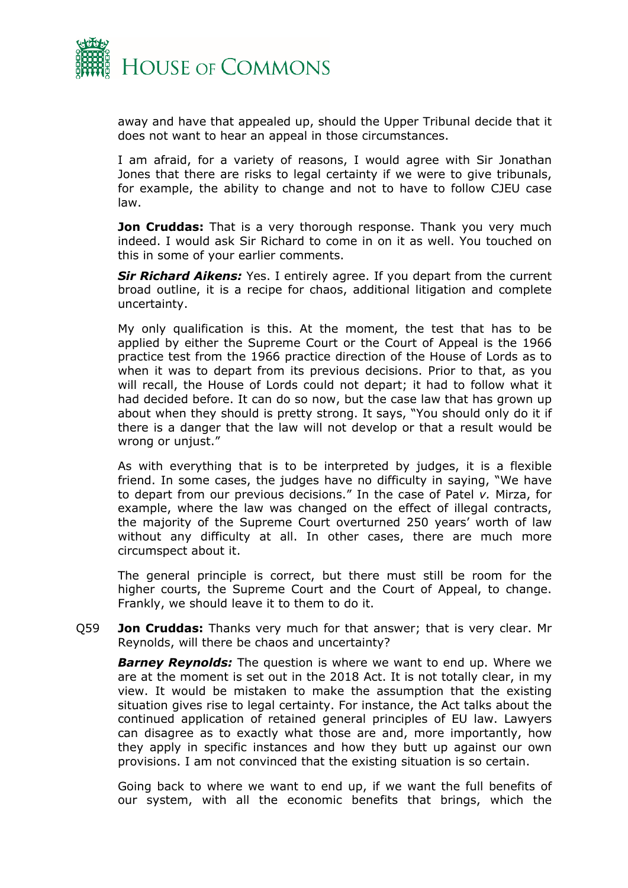

away and have that appealed up, should the Upper Tribunal decide that it does not want to hear an appeal in those circumstances.

I am afraid, for a variety of reasons, I would agree with Sir Jonathan Jones that there are risks to legal certainty if we were to give tribunals, for example, the ability to change and not to have to follow CJEU case law.

**Jon Cruddas:** That is a very thorough response. Thank you very much indeed. I would ask Sir Richard to come in on it as well. You touched on this in some of your earlier comments.

*Sir Richard Aikens:* Yes. I entirely agree. If you depart from the current broad outline, it is a recipe for chaos, additional litigation and complete uncertainty.

My only qualification is this. At the moment, the test that has to be applied by either the Supreme Court or the Court of Appeal is the 1966 practice test from the 1966 practice direction of the House of Lords as to when it was to depart from its previous decisions. Prior to that, as you will recall, the House of Lords could not depart; it had to follow what it had decided before. It can do so now, but the case law that has grown up about when they should is pretty strong. It says, "You should only do it if there is a danger that the law will not develop or that a result would be wrong or unjust."

As with everything that is to be interpreted by judges, it is a flexible friend. In some cases, the judges have no difficulty in saying, "We have to depart from our previous decisions." In the case of Patel *v.* Mirza, for example, where the law was changed on the effect of illegal contracts, the majority of the Supreme Court overturned 250 years' worth of law without any difficulty at all. In other cases, there are much more circumspect about it.

The general principle is correct, but there must still be room for the higher courts, the Supreme Court and the Court of Appeal, to change. Frankly, we should leave it to them to do it.

Q59 **Jon Cruddas:** Thanks very much for that answer; that is very clear. Mr Reynolds, will there be chaos and uncertainty?

*Barney Reynolds:* The question is where we want to end up. Where we are at the moment is set out in the 2018 Act. It is not totally clear, in my view. It would be mistaken to make the assumption that the existing situation gives rise to legal certainty. For instance, the Act talks about the continued application of retained general principles of EU law. Lawyers can disagree as to exactly what those are and, more importantly, how they apply in specific instances and how they butt up against our own provisions. I am not convinced that the existing situation is so certain.

Going back to where we want to end up, if we want the full benefits of our system, with all the economic benefits that brings, which the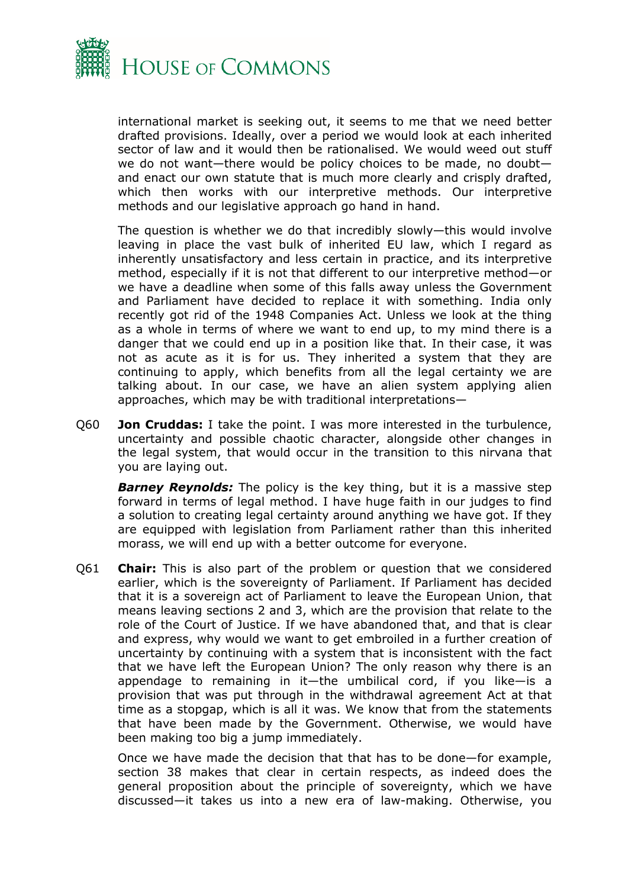

international market is seeking out, it seems to me that we need better drafted provisions. Ideally, over a period we would look at each inherited sector of law and it would then be rationalised. We would weed out stuff we do not want—there would be policy choices to be made, no doubt and enact our own statute that is much more clearly and crisply drafted, which then works with our interpretive methods. Our interpretive methods and our legislative approach go hand in hand.

The question is whether we do that incredibly slowly—this would involve leaving in place the vast bulk of inherited EU law, which I regard as inherently unsatisfactory and less certain in practice, and its interpretive method, especially if it is not that different to our interpretive method—or we have a deadline when some of this falls away unless the Government and Parliament have decided to replace it with something. India only recently got rid of the 1948 Companies Act. Unless we look at the thing as a whole in terms of where we want to end up, to my mind there is a danger that we could end up in a position like that. In their case, it was not as acute as it is for us. They inherited a system that they are continuing to apply, which benefits from all the legal certainty we are talking about. In our case, we have an alien system applying alien approaches, which may be with traditional interpretations—

Q60 **Jon Cruddas:** I take the point. I was more interested in the turbulence, uncertainty and possible chaotic character, alongside other changes in the legal system, that would occur in the transition to this nirvana that you are laying out.

*Barney Reynolds:* The policy is the key thing, but it is a massive step forward in terms of legal method. I have huge faith in our judges to find a solution to creating legal certainty around anything we have got. If they are equipped with legislation from Parliament rather than this inherited morass, we will end up with a better outcome for everyone.

Q61 **Chair:** This is also part of the problem or question that we considered earlier, which is the sovereignty of Parliament. If Parliament has decided that it is a sovereign act of Parliament to leave the European Union, that means leaving sections 2 and 3, which are the provision that relate to the role of the Court of Justice. If we have abandoned that, and that is clear and express, why would we want to get embroiled in a further creation of uncertainty by continuing with a system that is inconsistent with the fact that we have left the European Union? The only reason why there is an appendage to remaining in it—the umbilical cord, if you like—is a provision that was put through in the withdrawal agreement Act at that time as a stopgap, which is all it was. We know that from the statements that have been made by the Government. Otherwise, we would have been making too big a jump immediately.

Once we have made the decision that that has to be done—for example, section 38 makes that clear in certain respects, as indeed does the general proposition about the principle of sovereignty, which we have discussed—it takes us into a new era of law-making. Otherwise, you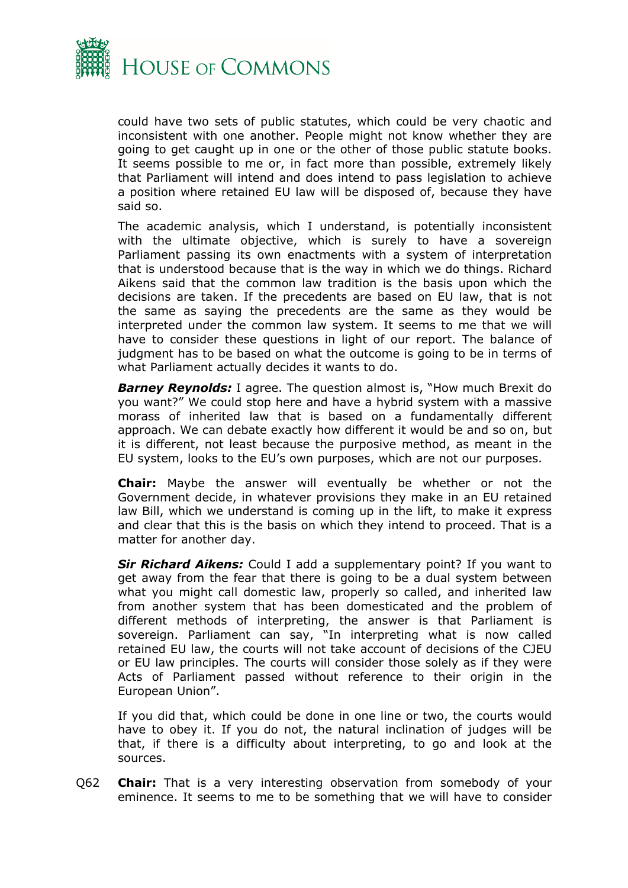

could have two sets of public statutes, which could be very chaotic and inconsistent with one another. People might not know whether they are going to get caught up in one or the other of those public statute books. It seems possible to me or, in fact more than possible, extremely likely that Parliament will intend and does intend to pass legislation to achieve a position where retained EU law will be disposed of, because they have said so.

The academic analysis, which I understand, is potentially inconsistent with the ultimate objective, which is surely to have a sovereign Parliament passing its own enactments with a system of interpretation that is understood because that is the way in which we do things. Richard Aikens said that the common law tradition is the basis upon which the decisions are taken. If the precedents are based on EU law, that is not the same as saying the precedents are the same as they would be interpreted under the common law system. It seems to me that we will have to consider these questions in light of our report. The balance of judgment has to be based on what the outcome is going to be in terms of what Parliament actually decides it wants to do.

*Barney Reynolds:* I agree. The question almost is, "How much Brexit do you want?" We could stop here and have a hybrid system with a massive morass of inherited law that is based on a fundamentally different approach. We can debate exactly how different it would be and so on, but it is different, not least because the purposive method, as meant in the EU system, looks to the EU's own purposes, which are not our purposes.

**Chair:** Maybe the answer will eventually be whether or not the Government decide, in whatever provisions they make in an EU retained law Bill, which we understand is coming up in the lift, to make it express and clear that this is the basis on which they intend to proceed. That is a matter for another day.

*Sir Richard Aikens:* Could I add a supplementary point? If you want to get away from the fear that there is going to be a dual system between what you might call domestic law, properly so called, and inherited law from another system that has been domesticated and the problem of different methods of interpreting, the answer is that Parliament is sovereign. Parliament can say, "In interpreting what is now called retained EU law, the courts will not take account of decisions of the CJEU or EU law principles. The courts will consider those solely as if they were Acts of Parliament passed without reference to their origin in the European Union".

If you did that, which could be done in one line or two, the courts would have to obey it. If you do not, the natural inclination of judges will be that, if there is a difficulty about interpreting, to go and look at the sources.

Q62 **Chair:** That is a very interesting observation from somebody of your eminence. It seems to me to be something that we will have to consider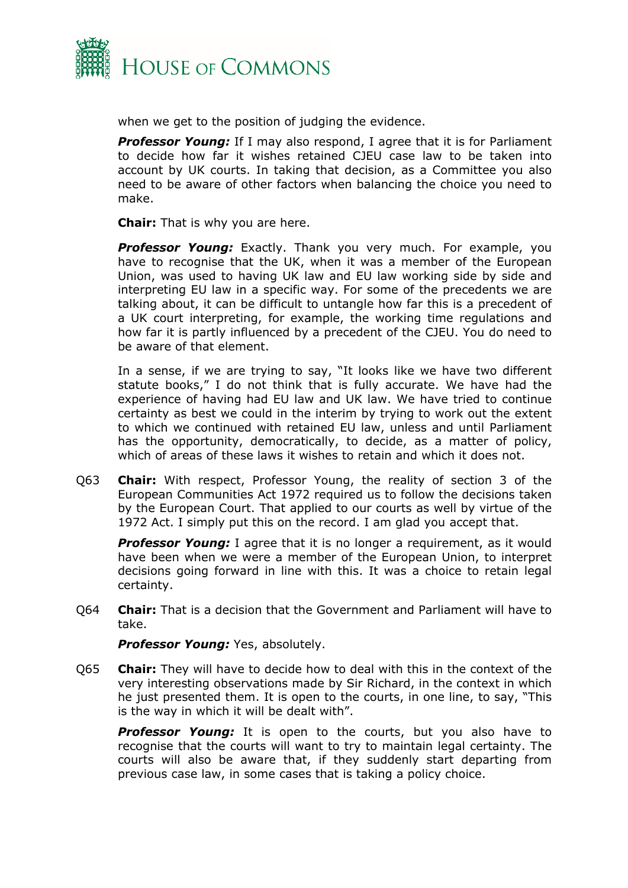

when we get to the position of judging the evidence.

*Professor Young:* If I may also respond, I agree that it is for Parliament to decide how far it wishes retained CJEU case law to be taken into account by UK courts. In taking that decision, as a Committee you also need to be aware of other factors when balancing the choice you need to make.

**Chair:** That is why you are here.

**Professor Young:** Exactly. Thank you very much. For example, you have to recognise that the UK, when it was a member of the European Union, was used to having UK law and EU law working side by side and interpreting EU law in a specific way. For some of the precedents we are talking about, it can be difficult to untangle how far this is a precedent of a UK court interpreting, for example, the working time regulations and how far it is partly influenced by a precedent of the CJEU. You do need to be aware of that element.

In a sense, if we are trying to say, "It looks like we have two different statute books," I do not think that is fully accurate. We have had the experience of having had EU law and UK law. We have tried to continue certainty as best we could in the interim by trying to work out the extent to which we continued with retained EU law, unless and until Parliament has the opportunity, democratically, to decide, as a matter of policy, which of areas of these laws it wishes to retain and which it does not.

Q63 **Chair:** With respect, Professor Young, the reality of section 3 of the European Communities Act 1972 required us to follow the decisions taken by the European Court. That applied to our courts as well by virtue of the 1972 Act. I simply put this on the record. I am glad you accept that.

**Professor Young:** I agree that it is no longer a requirement, as it would have been when we were a member of the European Union, to interpret decisions going forward in line with this. It was a choice to retain legal certainty.

Q64 **Chair:** That is a decision that the Government and Parliament will have to take.

*Professor Young:* Yes, absolutely.

Q65 **Chair:** They will have to decide how to deal with this in the context of the very interesting observations made by Sir Richard, in the context in which he just presented them. It is open to the courts, in one line, to say, "This is the way in which it will be dealt with".

**Professor Young:** It is open to the courts, but you also have to recognise that the courts will want to try to maintain legal certainty. The courts will also be aware that, if they suddenly start departing from previous case law, in some cases that is taking a policy choice.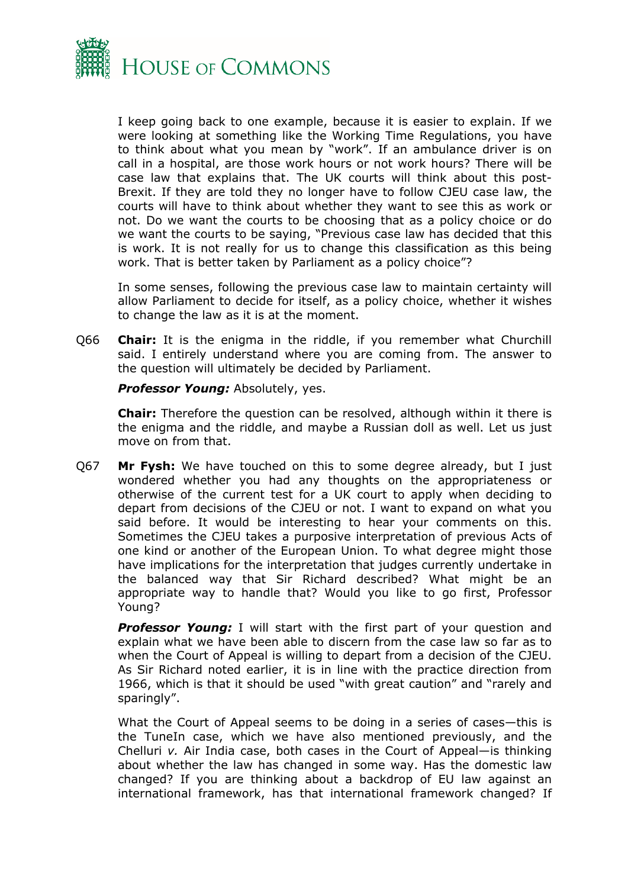

I keep going back to one example, because it is easier to explain. If we were looking at something like the Working Time Regulations, you have to think about what you mean by "work". If an ambulance driver is on call in a hospital, are those work hours or not work hours? There will be case law that explains that. The UK courts will think about this post-Brexit. If they are told they no longer have to follow CJEU case law, the courts will have to think about whether they want to see this as work or not. Do we want the courts to be choosing that as a policy choice or do we want the courts to be saying, "Previous case law has decided that this is work. It is not really for us to change this classification as this being work. That is better taken by Parliament as a policy choice"?

In some senses, following the previous case law to maintain certainty will allow Parliament to decide for itself, as a policy choice, whether it wishes to change the law as it is at the moment.

Q66 **Chair:** It is the enigma in the riddle, if you remember what Churchill said. I entirely understand where you are coming from. The answer to the question will ultimately be decided by Parliament.

*Professor Young:* Absolutely, yes.

**Chair:** Therefore the question can be resolved, although within it there is the enigma and the riddle, and maybe a Russian doll as well. Let us just move on from that.

Q67 **Mr Fysh:** We have touched on this to some degree already, but I just wondered whether you had any thoughts on the appropriateness or otherwise of the current test for a UK court to apply when deciding to depart from decisions of the CJEU or not. I want to expand on what you said before. It would be interesting to hear your comments on this. Sometimes the CJEU takes a purposive interpretation of previous Acts of one kind or another of the European Union. To what degree might those have implications for the interpretation that judges currently undertake in the balanced way that Sir Richard described? What might be an appropriate way to handle that? Would you like to go first, Professor Young?

**Professor Young:** I will start with the first part of your question and explain what we have been able to discern from the case law so far as to when the Court of Appeal is willing to depart from a decision of the CJEU. As Sir Richard noted earlier, it is in line with the practice direction from 1966, which is that it should be used "with great caution" and "rarely and sparingly".

What the Court of Appeal seems to be doing in a series of cases—this is the TuneIn case, which we have also mentioned previously, and the Chelluri *v.* Air India case, both cases in the Court of Appeal—is thinking about whether the law has changed in some way. Has the domestic law changed? If you are thinking about a backdrop of EU law against an international framework, has that international framework changed? If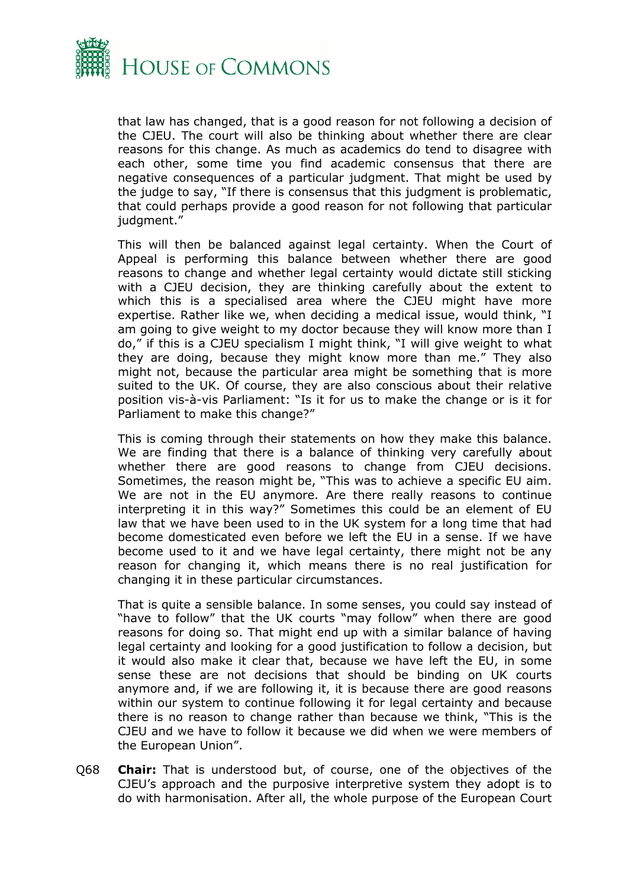

that law has changed, that is a good reason for not following a decision of the CJEU. The court will also be thinking about whether there are clear reasons for this change. As much as academics do tend to disagree with each other, some time you find academic consensus that there are negative consequences of a particular judgment. That might be used by the judge to say, "If there is consensus that this judgment is problematic, that could perhaps provide a good reason for not following that particular judgment."

This will then be balanced against legal certainty. When the Court of Appeal is performing this balance between whether there are good reasons to change and whether legal certainty would dictate still sticking with a CJEU decision, they are thinking carefully about the extent to which this is a specialised area where the CJEU might have more expertise. Rather like we, when deciding a medical issue, would think, "I am going to give weight to my doctor because they will know more than I do," if this is a CJEU specialism I might think, "I will give weight to what they are doing, because they might know more than me." They also might not, because the particular area might be something that is more suited to the UK. Of course, they are also conscious about their relative position vis-à-vis Parliament: "Is it for us to make the change or is it for Parliament to make this change?"

This is coming through their statements on how they make this balance. We are finding that there is a balance of thinking very carefully about whether there are good reasons to change from CJEU decisions. Sometimes, the reason might be, "This was to achieve a specific EU aim. We are not in the EU anymore. Are there really reasons to continue interpreting it in this way?" Sometimes this could be an element of EU law that we have been used to in the UK system for a long time that had become domesticated even before we left the EU in a sense. If we have become used to it and we have legal certainty, there might not be any reason for changing it, which means there is no real justification for changing it in these particular circumstances.

That is quite a sensible balance. In some senses, you could say instead of "have to follow" that the UK courts "may follow" when there are good reasons for doing so. That might end up with a similar balance of having legal certainty and looking for a good justification to follow a decision, but it would also make it clear that, because we have left the EU, in some sense these are not decisions that should be binding on UK courts anymore and, if we are following it, it is because there are good reasons within our system to continue following it for legal certainty and because there is no reason to change rather than because we think, "This is the CJEU and we have to follow it because we did when we were members of the European Union".

Q68 **Chair:** That is understood but, of course, one of the objectives of the CJEU's approach and the purposive interpretive system they adopt is to do with harmonisation. After all, the whole purpose of the European Court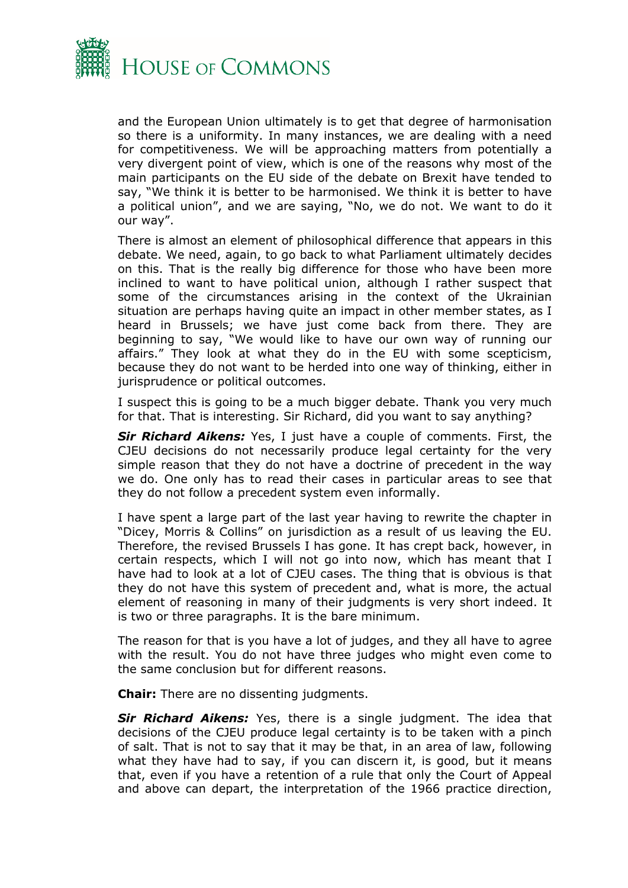

and the European Union ultimately is to get that degree of harmonisation so there is a uniformity. In many instances, we are dealing with a need for competitiveness. We will be approaching matters from potentially a very divergent point of view, which is one of the reasons why most of the main participants on the EU side of the debate on Brexit have tended to say, "We think it is better to be harmonised. We think it is better to have a political union", and we are saying, "No, we do not. We want to do it our way".

There is almost an element of philosophical difference that appears in this debate. We need, again, to go back to what Parliament ultimately decides on this. That is the really big difference for those who have been more inclined to want to have political union, although I rather suspect that some of the circumstances arising in the context of the Ukrainian situation are perhaps having quite an impact in other member states, as I heard in Brussels; we have just come back from there. They are beginning to say, "We would like to have our own way of running our affairs." They look at what they do in the EU with some scepticism, because they do not want to be herded into one way of thinking, either in jurisprudence or political outcomes.

I suspect this is going to be a much bigger debate. Thank you very much for that. That is interesting. Sir Richard, did you want to say anything?

*Sir Richard Aikens:* Yes, I just have a couple of comments. First, the CJEU decisions do not necessarily produce legal certainty for the very simple reason that they do not have a doctrine of precedent in the way we do. One only has to read their cases in particular areas to see that they do not follow a precedent system even informally.

I have spent a large part of the last year having to rewrite the chapter in "Dicey, Morris & Collins" on jurisdiction as a result of us leaving the EU. Therefore, the revised Brussels I has gone. It has crept back, however, in certain respects, which I will not go into now, which has meant that I have had to look at a lot of CJEU cases. The thing that is obvious is that they do not have this system of precedent and, what is more, the actual element of reasoning in many of their judgments is very short indeed. It is two or three paragraphs. It is the bare minimum.

The reason for that is you have a lot of judges, and they all have to agree with the result. You do not have three judges who might even come to the same conclusion but for different reasons.

**Chair:** There are no dissenting judgments.

*Sir Richard Aikens:* Yes, there is a single judgment. The idea that decisions of the CJEU produce legal certainty is to be taken with a pinch of salt. That is not to say that it may be that, in an area of law, following what they have had to say, if you can discern it, is good, but it means that, even if you have a retention of a rule that only the Court of Appeal and above can depart, the interpretation of the 1966 practice direction,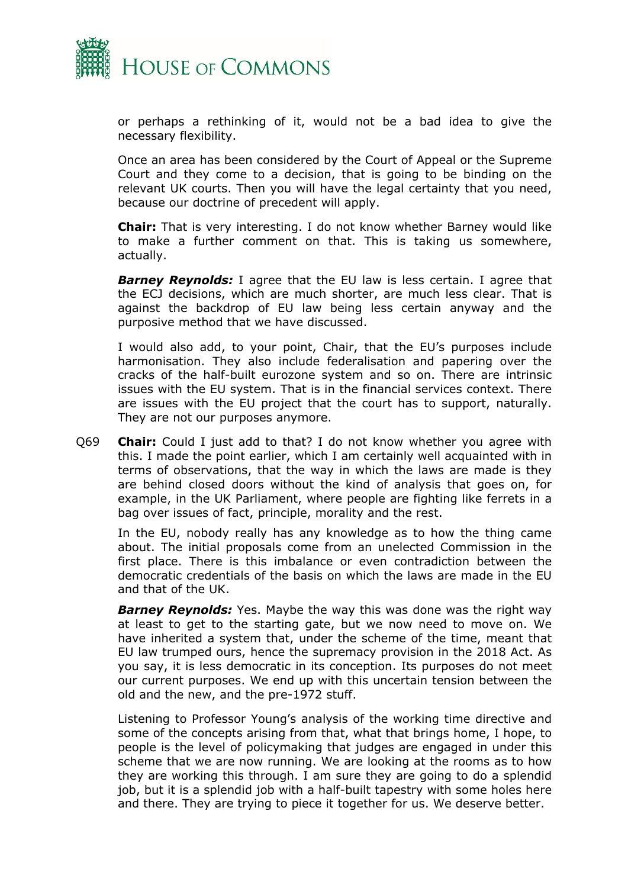

or perhaps a rethinking of it, would not be a bad idea to give the necessary flexibility.

Once an area has been considered by the Court of Appeal or the Supreme Court and they come to a decision, that is going to be binding on the relevant UK courts. Then you will have the legal certainty that you need, because our doctrine of precedent will apply.

**Chair:** That is very interesting. I do not know whether Barney would like to make a further comment on that. This is taking us somewhere, actually.

*Barney Reynolds:* I agree that the EU law is less certain. I agree that the ECJ decisions, which are much shorter, are much less clear. That is against the backdrop of EU law being less certain anyway and the purposive method that we have discussed.

I would also add, to your point, Chair, that the EU's purposes include harmonisation. They also include federalisation and papering over the cracks of the half-built eurozone system and so on. There are intrinsic issues with the EU system. That is in the financial services context. There are issues with the EU project that the court has to support, naturally. They are not our purposes anymore.

Q69 **Chair:** Could I just add to that? I do not know whether you agree with this. I made the point earlier, which I am certainly well acquainted with in terms of observations, that the way in which the laws are made is they are behind closed doors without the kind of analysis that goes on, for example, in the UK Parliament, where people are fighting like ferrets in a bag over issues of fact, principle, morality and the rest.

In the EU, nobody really has any knowledge as to how the thing came about. The initial proposals come from an unelected Commission in the first place. There is this imbalance or even contradiction between the democratic credentials of the basis on which the laws are made in the EU and that of the UK.

*Barney Reynolds:* Yes. Maybe the way this was done was the right way at least to get to the starting gate, but we now need to move on. We have inherited a system that, under the scheme of the time, meant that EU law trumped ours, hence the supremacy provision in the 2018 Act. As you say, it is less democratic in its conception. Its purposes do not meet our current purposes. We end up with this uncertain tension between the old and the new, and the pre-1972 stuff.

Listening to Professor Young's analysis of the working time directive and some of the concepts arising from that, what that brings home, I hope, to people is the level of policymaking that judges are engaged in under this scheme that we are now running. We are looking at the rooms as to how they are working this through. I am sure they are going to do a splendid job, but it is a splendid job with a half-built tapestry with some holes here and there. They are trying to piece it together for us. We deserve better.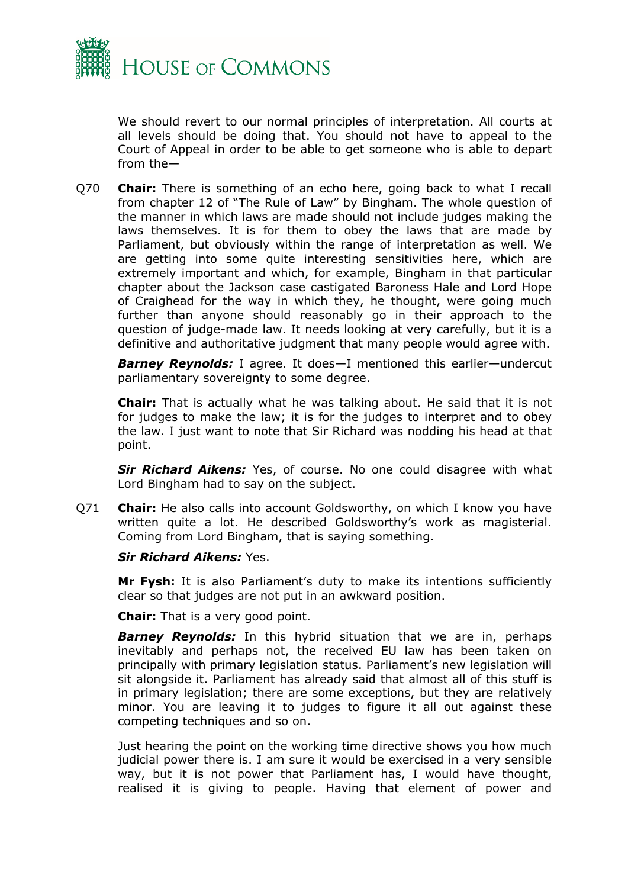

We should revert to our normal principles of interpretation. All courts at all levels should be doing that. You should not have to appeal to the Court of Appeal in order to be able to get someone who is able to depart from the—

Q70 **Chair:** There is something of an echo here, going back to what I recall from chapter 12 of "The Rule of Law" by Bingham. The whole question of the manner in which laws are made should not include judges making the laws themselves. It is for them to obey the laws that are made by Parliament, but obviously within the range of interpretation as well. We are getting into some quite interesting sensitivities here, which are extremely important and which, for example, Bingham in that particular chapter about the Jackson case castigated Baroness Hale and Lord Hope of Craighead for the way in which they, he thought, were going much further than anyone should reasonably go in their approach to the question of judge-made law. It needs looking at very carefully, but it is a definitive and authoritative judgment that many people would agree with.

*Barney Reynolds:* I agree. It does—I mentioned this earlier—undercut parliamentary sovereignty to some degree.

**Chair:** That is actually what he was talking about. He said that it is not for judges to make the law; it is for the judges to interpret and to obey the law. I just want to note that Sir Richard was nodding his head at that point.

*Sir Richard Aikens:* Yes, of course. No one could disagree with what Lord Bingham had to say on the subject.

Q71 **Chair:** He also calls into account Goldsworthy, on which I know you have written quite a lot. He described Goldsworthy's work as magisterial. Coming from Lord Bingham, that is saying something.

#### *Sir Richard Aikens:* Yes.

**Mr Fysh:** It is also Parliament's duty to make its intentions sufficiently clear so that judges are not put in an awkward position.

**Chair:** That is a very good point.

*Barney Reynolds:* In this hybrid situation that we are in, perhaps inevitably and perhaps not, the received EU law has been taken on principally with primary legislation status. Parliament's new legislation will sit alongside it. Parliament has already said that almost all of this stuff is in primary legislation; there are some exceptions, but they are relatively minor. You are leaving it to judges to figure it all out against these competing techniques and so on.

Just hearing the point on the working time directive shows you how much judicial power there is. I am sure it would be exercised in a very sensible way, but it is not power that Parliament has, I would have thought, realised it is giving to people. Having that element of power and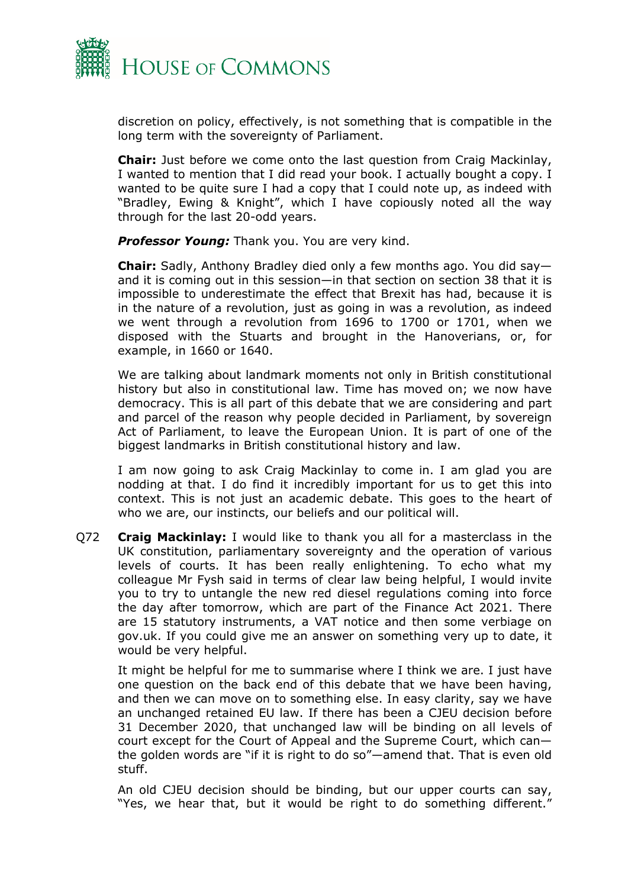

discretion on policy, effectively, is not something that is compatible in the long term with the sovereignty of Parliament.

**Chair:** Just before we come onto the last question from Craig Mackinlay, I wanted to mention that I did read your book. I actually bought a copy. I wanted to be quite sure I had a copy that I could note up, as indeed with "Bradley, Ewing & Knight", which I have copiously noted all the way through for the last 20-odd years.

**Professor Young:** Thank you. You are very kind.

**Chair:** Sadly, Anthony Bradley died only a few months ago. You did say and it is coming out in this session—in that section on section 38 that it is impossible to underestimate the effect that Brexit has had, because it is in the nature of a revolution, just as going in was a revolution, as indeed we went through a revolution from 1696 to 1700 or 1701, when we disposed with the Stuarts and brought in the Hanoverians, or, for example, in 1660 or 1640.

We are talking about landmark moments not only in British constitutional history but also in constitutional law. Time has moved on; we now have democracy. This is all part of this debate that we are considering and part and parcel of the reason why people decided in Parliament, by sovereign Act of Parliament, to leave the European Union. It is part of one of the biggest landmarks in British constitutional history and law.

I am now going to ask Craig Mackinlay to come in. I am glad you are nodding at that. I do find it incredibly important for us to get this into context. This is not just an academic debate. This goes to the heart of who we are, our instincts, our beliefs and our political will.

Q72 **Craig Mackinlay:** I would like to thank you all for a masterclass in the UK constitution, parliamentary sovereignty and the operation of various levels of courts. It has been really enlightening. To echo what my colleague Mr Fysh said in terms of clear law being helpful, I would invite you to try to untangle the new red diesel regulations coming into force the day after tomorrow, which are part of the Finance Act 2021. There are 15 statutory instruments, a VAT notice and then some verbiage on gov.uk. If you could give me an answer on something very up to date, it would be very helpful.

It might be helpful for me to summarise where I think we are. I just have one question on the back end of this debate that we have been having, and then we can move on to something else. In easy clarity, say we have an unchanged retained EU law. If there has been a CJEU decision before 31 December 2020, that unchanged law will be binding on all levels of court except for the Court of Appeal and the Supreme Court, which can the golden words are "if it is right to do so"—amend that. That is even old stuff.

An old CJEU decision should be binding, but our upper courts can say, "Yes, we hear that, but it would be right to do something different."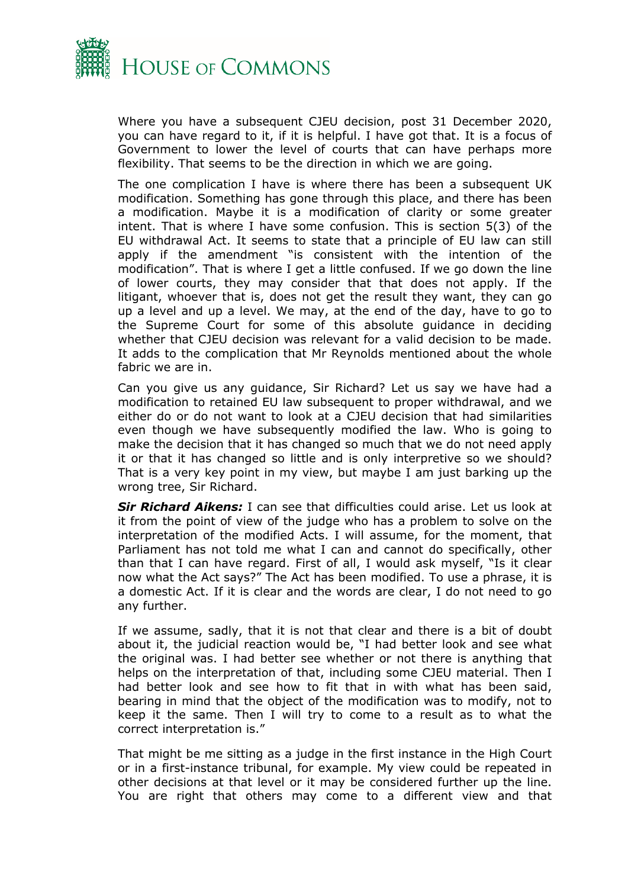

Where you have a subsequent CJEU decision, post 31 December 2020, you can have regard to it, if it is helpful. I have got that. It is a focus of Government to lower the level of courts that can have perhaps more flexibility. That seems to be the direction in which we are going.

The one complication I have is where there has been a subsequent UK modification. Something has gone through this place, and there has been a modification. Maybe it is a modification of clarity or some greater intent. That is where I have some confusion. This is section 5(3) of the EU withdrawal Act. It seems to state that a principle of EU law can still apply if the amendment "is consistent with the intention of the modification". That is where I get a little confused. If we go down the line of lower courts, they may consider that that does not apply. If the litigant, whoever that is, does not get the result they want, they can go up a level and up a level. We may, at the end of the day, have to go to the Supreme Court for some of this absolute guidance in deciding whether that CJEU decision was relevant for a valid decision to be made. It adds to the complication that Mr Reynolds mentioned about the whole fabric we are in.

Can you give us any guidance, Sir Richard? Let us say we have had a modification to retained EU law subsequent to proper withdrawal, and we either do or do not want to look at a CJEU decision that had similarities even though we have subsequently modified the law. Who is going to make the decision that it has changed so much that we do not need apply it or that it has changed so little and is only interpretive so we should? That is a very key point in my view, but maybe I am just barking up the wrong tree, Sir Richard.

*Sir Richard Aikens:* I can see that difficulties could arise. Let us look at it from the point of view of the judge who has a problem to solve on the interpretation of the modified Acts. I will assume, for the moment, that Parliament has not told me what I can and cannot do specifically, other than that I can have regard. First of all, I would ask myself, "Is it clear now what the Act says?" The Act has been modified. To use a phrase, it is a domestic Act. If it is clear and the words are clear, I do not need to go any further.

If we assume, sadly, that it is not that clear and there is a bit of doubt about it, the judicial reaction would be, "I had better look and see what the original was. I had better see whether or not there is anything that helps on the interpretation of that, including some CJEU material. Then I had better look and see how to fit that in with what has been said, bearing in mind that the object of the modification was to modify, not to keep it the same. Then I will try to come to a result as to what the correct interpretation is."

That might be me sitting as a judge in the first instance in the High Court or in a first-instance tribunal, for example. My view could be repeated in other decisions at that level or it may be considered further up the line. You are right that others may come to a different view and that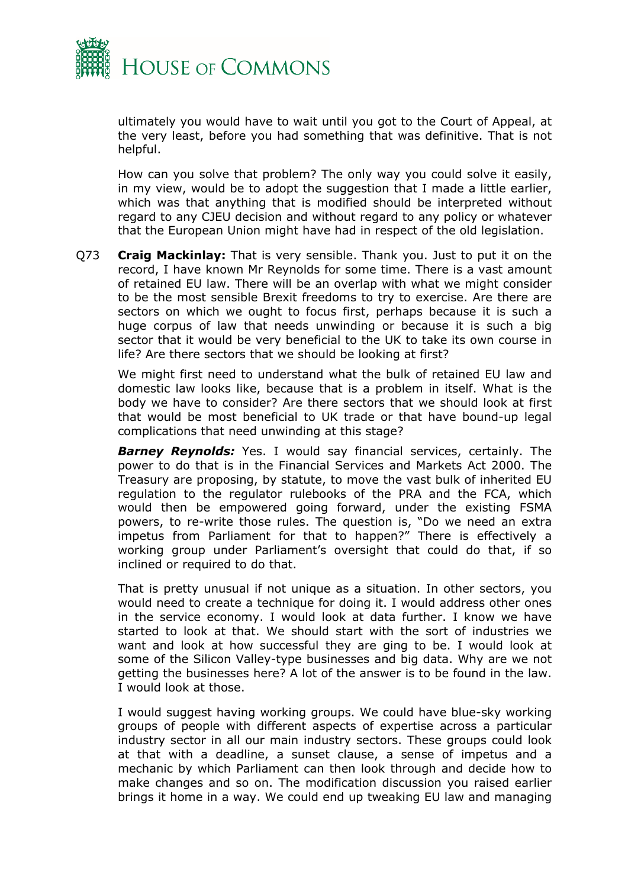

ultimately you would have to wait until you got to the Court of Appeal, at the very least, before you had something that was definitive. That is not helpful.

How can you solve that problem? The only way you could solve it easily, in my view, would be to adopt the suggestion that I made a little earlier, which was that anything that is modified should be interpreted without regard to any CJEU decision and without regard to any policy or whatever that the European Union might have had in respect of the old legislation.

Q73 **Craig Mackinlay:** That is very sensible. Thank you. Just to put it on the record, I have known Mr Reynolds for some time. There is a vast amount of retained EU law. There will be an overlap with what we might consider to be the most sensible Brexit freedoms to try to exercise. Are there are sectors on which we ought to focus first, perhaps because it is such a huge corpus of law that needs unwinding or because it is such a big sector that it would be very beneficial to the UK to take its own course in life? Are there sectors that we should be looking at first?

We might first need to understand what the bulk of retained EU law and domestic law looks like, because that is a problem in itself. What is the body we have to consider? Are there sectors that we should look at first that would be most beneficial to UK trade or that have bound-up legal complications that need unwinding at this stage?

*Barney Reynolds:* Yes. I would say financial services, certainly. The power to do that is in the Financial Services and Markets Act 2000. The Treasury are proposing, by statute, to move the vast bulk of inherited EU regulation to the regulator rulebooks of the PRA and the FCA, which would then be empowered going forward, under the existing FSMA powers, to re-write those rules. The question is, "Do we need an extra impetus from Parliament for that to happen?" There is effectively a working group under Parliament's oversight that could do that, if so inclined or required to do that.

That is pretty unusual if not unique as a situation. In other sectors, you would need to create a technique for doing it. I would address other ones in the service economy. I would look at data further. I know we have started to look at that. We should start with the sort of industries we want and look at how successful they are ging to be. I would look at some of the Silicon Valley-type businesses and big data. Why are we not getting the businesses here? A lot of the answer is to be found in the law. I would look at those.

I would suggest having working groups. We could have blue-sky working groups of people with different aspects of expertise across a particular industry sector in all our main industry sectors. These groups could look at that with a deadline, a sunset clause, a sense of impetus and a mechanic by which Parliament can then look through and decide how to make changes and so on. The modification discussion you raised earlier brings it home in a way. We could end up tweaking EU law and managing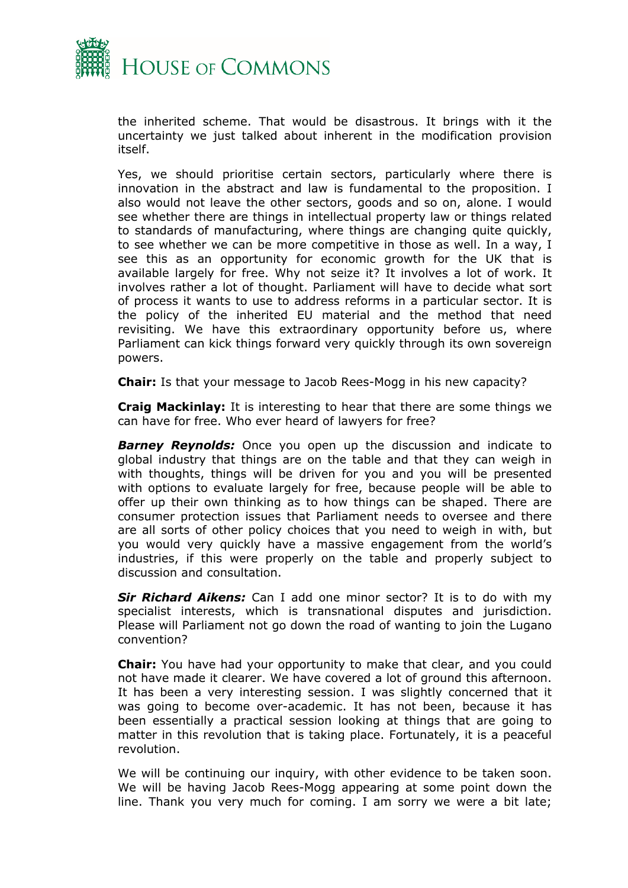

the inherited scheme. That would be disastrous. It brings with it the uncertainty we just talked about inherent in the modification provision itself.

Yes, we should prioritise certain sectors, particularly where there is innovation in the abstract and law is fundamental to the proposition. I also would not leave the other sectors, goods and so on, alone. I would see whether there are things in intellectual property law or things related to standards of manufacturing, where things are changing quite quickly, to see whether we can be more competitive in those as well. In a way, I see this as an opportunity for economic growth for the UK that is available largely for free. Why not seize it? It involves a lot of work. It involves rather a lot of thought. Parliament will have to decide what sort of process it wants to use to address reforms in a particular sector. It is the policy of the inherited EU material and the method that need revisiting. We have this extraordinary opportunity before us, where Parliament can kick things forward very quickly through its own sovereign powers.

**Chair:** Is that your message to Jacob Rees-Mogg in his new capacity?

**Craig Mackinlay:** It is interesting to hear that there are some things we can have for free. Who ever heard of lawyers for free?

**Barney Reynolds:** Once you open up the discussion and indicate to global industry that things are on the table and that they can weigh in with thoughts, things will be driven for you and you will be presented with options to evaluate largely for free, because people will be able to offer up their own thinking as to how things can be shaped. There are consumer protection issues that Parliament needs to oversee and there are all sorts of other policy choices that you need to weigh in with, but you would very quickly have a massive engagement from the world's industries, if this were properly on the table and properly subject to discussion and consultation.

*Sir Richard Aikens:* Can I add one minor sector? It is to do with my specialist interests, which is transnational disputes and jurisdiction. Please will Parliament not go down the road of wanting to join the Lugano convention?

**Chair:** You have had your opportunity to make that clear, and you could not have made it clearer. We have covered a lot of ground this afternoon. It has been a very interesting session. I was slightly concerned that it was going to become over-academic. It has not been, because it has been essentially a practical session looking at things that are going to matter in this revolution that is taking place. Fortunately, it is a peaceful revolution.

We will be continuing our inquiry, with other evidence to be taken soon. We will be having Jacob Rees-Mogg appearing at some point down the line. Thank you very much for coming. I am sorry we were a bit late;